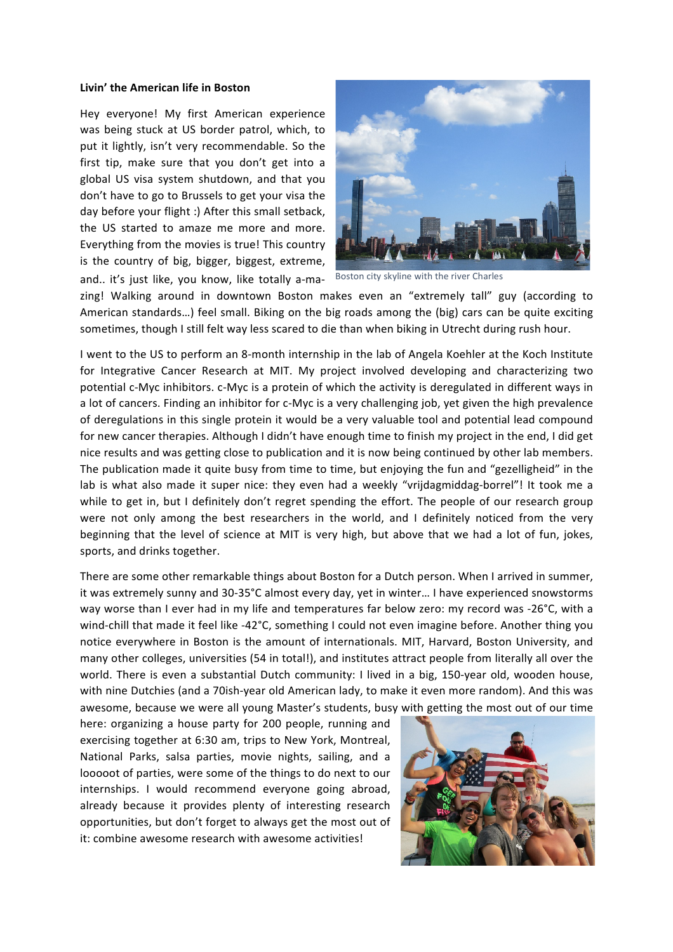## Livin' the American life in Boston

and.. it's just like, you know, like totally a-ma- Boston city skyline with the river Charles Hey everyone! My first American experience was being stuck at US border patrol, which, to put it lightly, isn't very recommendable. So the first tip, make sure that you don't get into a global US visa system shutdown, and that you don't have to go to Brussels to get your visa the day before your flight :) After this small setback, the US started to amaze me more and more. Everything from the movies is true! This country is the country of big, bigger, biggest, extreme,



zing! Walking around in downtown Boston makes even an "extremely tall" guy (according to American standards...) feel small. Biking on the big roads among the (big) cars can be quite exciting sometimes, though I still felt way less scared to die than when biking in Utrecht during rush hour.

I went to the US to perform an 8-month internship in the lab of Angela Koehler at the Koch Institute for Integrative Cancer Research at MIT. My project involved developing and characterizing two potential c-Myc inhibitors. c-Myc is a protein of which the activity is deregulated in different ways in a lot of cancers. Finding an inhibitor for c-Myc is a very challenging job, yet given the high prevalence of deregulations in this single protein it would be a very valuable tool and potential lead compound for new cancer therapies. Although I didn't have enough time to finish my project in the end, I did get nice results and was getting close to publication and it is now being continued by other lab members. The publication made it quite busy from time to time, but enjoying the fun and "gezelligheid" in the lab is what also made it super nice: they even had a weekly "vrijdagmiddag-borrel"! It took me a while to get in, but I definitely don't regret spending the effort. The people of our research group were not only among the best researchers in the world, and I definitely noticed from the very beginning that the level of science at MIT is very high, but above that we had a lot of fun, jokes, sports, and drinks together.

There are some other remarkable things about Boston for a Dutch person. When I arrived in summer, it was extremely sunny and 30-35°C almost every day, yet in winter... I have experienced snowstorms way worse than I ever had in my life and temperatures far below zero: my record was -26°C, with a wind-chill that made it feel like -42 $^{\circ}$ C, something I could not even imagine before. Another thing you notice everywhere in Boston is the amount of internationals. MIT, Harvard, Boston University, and many other colleges, universities (54 in total!), and institutes attract people from literally all over the world. There is even a substantial Dutch community: I lived in a big, 150-year old, wooden house, with nine Dutchies (and a 70ish-year old American lady, to make it even more random). And this was awesome, because we were all young Master's students, busy with getting the most out of our time

here: organizing a house party for 200 people, running and exercising together at 6:30 am, trips to New York, Montreal, National Parks, salsa parties, movie nights, sailing, and a looooot of parties, were some of the things to do next to our internships. I would recommend everyone going abroad, already because it provides plenty of interesting research opportunities, but don't forget to always get the most out of it: combine awesome research with awesome activities!